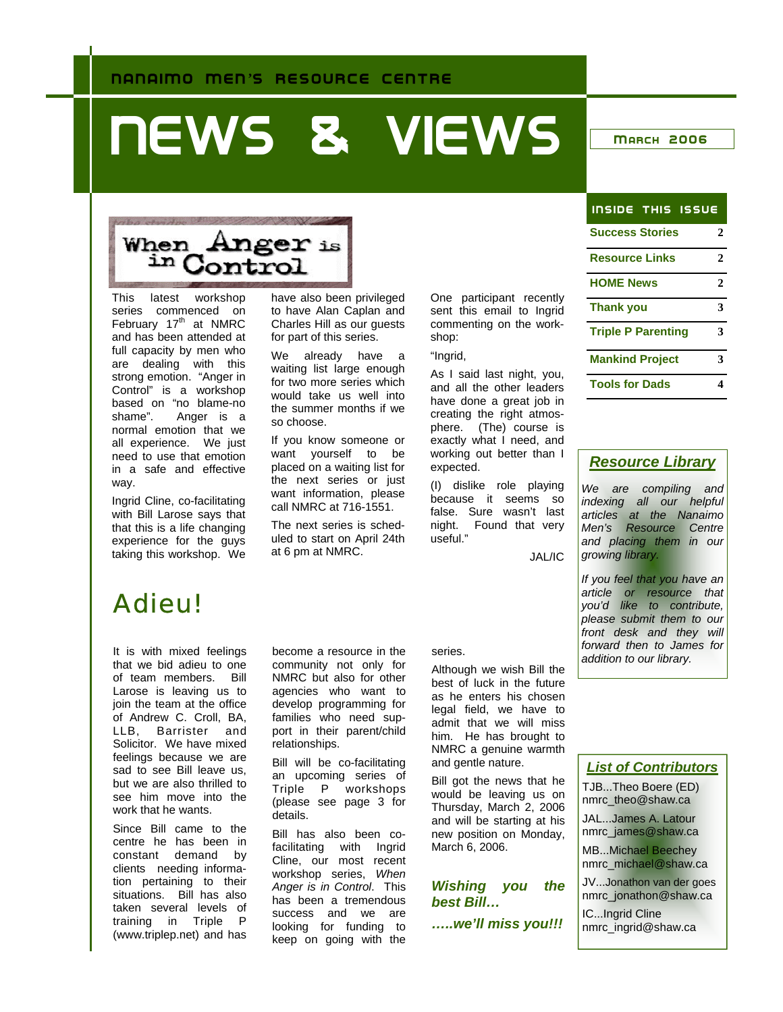# **NEWS & VIEWS MARCH 2006**

# When Anger is<br>in Control

This latest workshop series commenced on February 17<sup>th</sup> at NMRC and has been attended at full capacity by men who are dealing with this strong emotion. "Anger in Control" is a workshop based on "no blame-no shame". Anger is a normal emotion that we all experience. We just need to use that emotion in a safe and effective way.

Ingrid Cline, co-facilitating with Bill Larose says that that this is a life changing experience for the guys taking this workshop. We

have also been privileged to have Alan Caplan and Charles Hill as our guests for part of this series.

We already have a waiting list large enough for two more series which would take us well into the summer months if we so choose.

If you know someone or want yourself to be placed on a waiting list for the next series or just want information, please call NMRC at 716-1551.

The next series is scheduled to start on April 24th at 6 pm at NMRC.

One participant recently sent this email to Ingrid commenting on the workshop:

"Ingrid,

As I said last night, you, and all the other leaders have done a great job in creating the right atmosphere. (The) course is exactly what I need, and working out better than I expected.

(I) dislike role playing because it seems so false. Sure wasn't last night. Found that very useful."

JAL/IC

# Adieu!

It is with mixed feelings that we bid adieu to one of team members. Bill Larose is leaving us to join the team at the office of Andrew C. Croll, BA, LLB, Barrister and Solicitor. We have mixed feelings because we are sad to see Bill leave us, but we are also thrilled to see him move into the work that he wants.

Since Bill came to the centre he has been in constant demand by clients needing information pertaining to their situations. Bill has also taken several levels of training in Triple P (www.triplep.net) and has

become a resource in the community not only for NMRC but also for other agencies who want to develop programming for families who need support in their parent/child relationships.

Bill will be co-facilitating an upcoming series of Triple P workshops (please see page 3 for details.

Bill has also been cofacilitating with Ingrid Cline, our most recent workshop series, *When Anger is in Control*. This has been a tremendous success and we are looking for funding to keep on going with the

#### series.

Although we wish Bill the best of luck in the future as he enters his chosen legal field, we have to admit that we will miss him. He has brought to NMRC a genuine warmth and gentle nature.

Bill got the news that he would be leaving us on Thursday, March 2, 2006 and will be starting at his new position on Monday, March 6, 2006.

*Wishing you the best Bill… …..we'll miss you!!!* 

| <b>INSIDE THIS ISSUE</b>  |   |
|---------------------------|---|
| <b>Success Stories</b>    | 2 |
| <b>Resource Links</b>     | 2 |
| <b>HOME News</b>          | 2 |
| <b>Thank you</b>          | 3 |
| <b>Triple P Parenting</b> | 3 |
| <b>Mankind Project</b>    | 3 |
| <b>Tools for Dads</b>     |   |

#### *Resource Library*

*We are compiling and indexing all our helpful articles at the Nanaimo Men's Resource Centre and placing them in our growing library.* 

*If you feel that you have an article or resource that you'd like to contribute, please submit them to our front desk and they will forward then to James for addition to our library.* 

*List of Contributors*

TJB...Theo Boere (ED) nmrc\_theo@shaw.ca

JAL...James A. Latour

nmrc\_james@shaw.ca

MB...Michael Beechey nmrc\_michael@shaw.ca

JV...Jonathon van der goes nmrc\_jonathon@shaw.ca

IC...Ingrid Cline nmrc\_ingrid@shaw.ca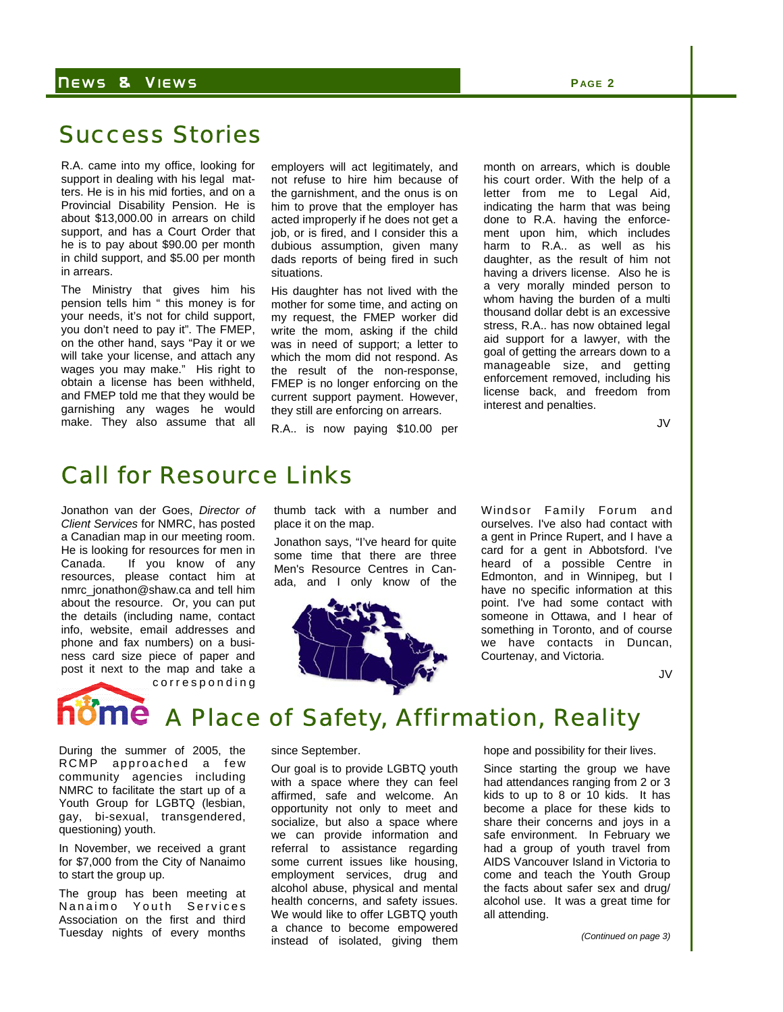#### N EWS & V IEWS **P AGE 2**

## Success Stories

R.A. came into my office, looking for support in dealing with his legal matters. He is in his mid forties, and on a Provincial Disability Pension. He is about \$13,000.00 in arrears on child support, and has a Court Order that he is to pay about \$90.00 per month in child support, and \$5.00 per month in arrears.

The Ministry that gives him his pension tells him " this money is for your needs, it's not for child support, you don't need to pay it". The FMEP, on the other hand, says "Pay it or we will take your license, and attach any wages you may make." His right to obtain a license has been withheld, and FMEP told me that they would be garnishing any wages he would make. They also assume that all

employers will act legitimately, and not refuse to hire him because of the garnishment, and the onus is on him to prove that the employer has acted improperly if he does not get a job, or is fired, and I consider this a dubious assumption, given many dads reports of being fired in such situations.

His daughter has not lived with the mother for some time, and acting on my request, the FMEP worker did write the mom, asking if the child was in need of support; a letter to which the mom did not respond. As the result of the non-response, FMEP is no longer enforcing on the current support payment. However, they still are enforcing on arrears.

R.A.. is now paying \$10.00 per

month on arrears, which is double his court order. With the help of a letter from me to Legal Aid, indicating the harm that was being done to R.A. having the enforcement upon him, which includes harm to R.A.. as well as his daughter, as the result of him not having a drivers license. Also he is a very morally minded person to whom having the burden of a multi thousand dollar debt is an excessive stress, R.A.. has now obtained legal aid support for a lawyer, with the goal of getting the arrears down to a manageable size, and getting enforcement removed, including his license back, and freedom from interest and penalties.

JV

### Call for Resource Links

Jonathon van der Goes, *Director of Client Services* for NMRC, has posted a Canadian map in our meeting room. He is looking for resources for men in Canada. If you know of any resources, please contact him at nmrc\_jonathon@shaw.ca and tell him about the resource. Or, you can put the details (including name, contact info, website, email addresses and phone and fax numbers) on a business card size piece of paper and post it next to the map and take a corresponding thumb tack with a number and place it on the map.

Jonathon says, "I've heard for quite some time that there are three Men's Resource Centres in Canada, and I only know of the



Windsor Family Forum and ourselves. I've also had contact with a gent in Prince Rupert, and I have a card for a gent in Abbotsford. I've heard of a possible Centre in Edmonton, and in Winnipeg, but I have no specific information at this point. I've had some contact with someone in Ottawa, and I hear of something in Toronto, and of course we have contacts in Duncan, Courtenay, and Victoria.

JV

# A Place of Safety, Affirmation, Reality

During the summer of 2005, the RCMP approached a few community agencies including NMRC to facilitate the start up of a Youth Group for LGBTQ (lesbian, gay, bi-sexual, transgendered, questioning) youth.

In November, we received a grant for \$7,000 from the City of Nanaimo to start the group up.

The group has been meeting at Nanaimo Youth Services Association on the first and third Tuesday nights of every months

#### since September.

Our goal is to provide LGBTQ youth with a space where they can feel affirmed, safe and welcome. An opportunity not only to meet and socialize, but also a space where we can provide information and referral to assistance regarding some current issues like housing, employment services, drug and alcohol abuse, physical and mental health concerns, and safety issues. We would like to offer LGBTQ youth a chance to become empowered instead of isolated, giving them

hope and possibility for their lives.

Since starting the group we have had attendances ranging from 2 or 3 kids to up to 8 or 10 kids. It has become a place for these kids to share their concerns and joys in a safe environment. In February we had a group of youth travel from AIDS Vancouver Island in Victoria to come and teach the Youth Group the facts about safer sex and drug/ alcohol use. It was a great time for all attending.

*(Continued on page 3)*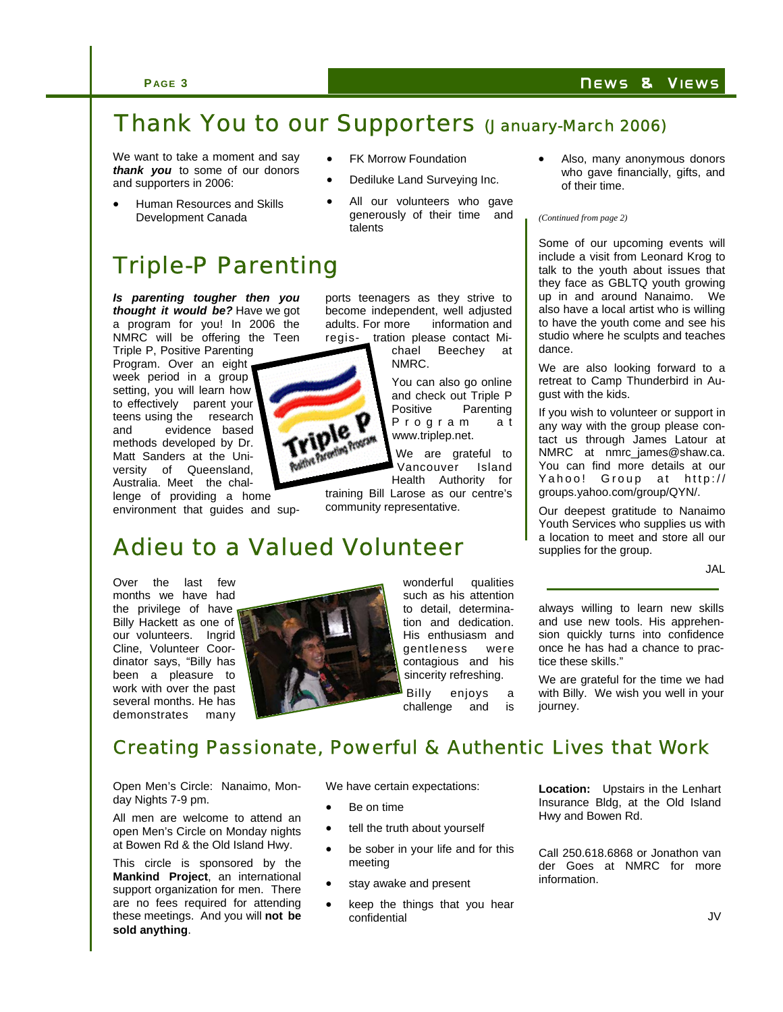### **PAGE 3 N EWS & VIEWS**

# Thank You to our Supporters (January-March 2006)

We want to take a moment and say *thank you* to some of our donors and supporters in 2006:

• Human Resources and Skills Development Canada

# Triple-P Parenting

*Is parenting tougher then you thought it would be?* Have we got a program for you! In 2006 the NMRC will be offering the Teen

Triple P, Positive Parenting Program. Over an eight week period in a group setting, you will learn how to effectively parent your teens using the research and evidence based methods developed by Dr. Matt Sanders at the University of Queensland, Australia. Meet the chal-

lenge of providing a home environment that guides and sup-

Over the last few months we have had the privilege of have Billy Hackett as one of our volunteers. Ingrid Cline, Volunteer Coordinator says, "Billy has been a pleasure to work with over the past several months. He has demonstrates many

wonderful qualities such as his attention to detail, determination and dedication. His enthusiasm and gentleness were contagious and his sincerity refreshing. Billy enjoys a

Also, many anonymous donors who gave financially, gifts, and of their time.

#### *(Continued from page 2)*

Some of our upcoming events will include a visit from Leonard Krog to talk to the youth about issues that they face as GBLTQ youth growing up in and around Nanaimo. We also have a local artist who is willing to have the youth come and see his studio where he sculpts and teaches dance.

We are also looking forward to a retreat to Camp Thunderbird in August with the kids.

If you wish to volunteer or support in any way with the group please contact us through James Latour at NMRC at nmrc\_james@shaw.ca. You can find more details at our Yahoo! Group at http:// groups.yahoo.com/group/QYN/.

Our deepest gratitude to Nanaimo Youth Services who supplies us with a location to meet and store all our supplies for the group.

JAL

always willing to learn new skills and use new tools. His apprehension quickly turns into confidence once he has had a chance to practice these skills."

We are grateful for the time we had with Billy. We wish you well in your journey.

## Creating Passionate, Powerful & Authentic Lives that Work

Open Men's Circle: Nanaimo, Monday Nights 7-9 pm.

All men are welcome to attend an open Men's Circle on Monday nights at Bowen Rd & the Old Island Hwy.

This circle is sponsored by the **Mankind Project**, an international support organization for men. There are no fees required for attending these meetings. And you will **not be sold anything**.

We have certain expectations:

- Be on time
- tell the truth about yourself
- be sober in your life and for this meeting
- stay awake and present
- keep the things that you hear confidential

**Location:** Upstairs in the Lenhart Insurance Bldg, at the Old Island Hwy and Bowen Rd.

Call 250.618.6868 or Jonathon van der Goes at NMRC for more information.

**FK Morrow Foundation** 

- Dediluke Land Surveying Inc.
- All our volunteers who gave generously of their time and talents

ports teenagers as they strive to become independent, well adjusted adults. For more information and regis- tration please contact Michael Beechey at

NMRC.

You can also go online and check out Triple P Positive Parenting P r o g r a m a t www.triplep.net.

We are grateful to Vancouver Island Health Authority for

training Bill Larose as our centre's community representative.

# Adieu to a Valued Volunteer



iple P

challenge and is